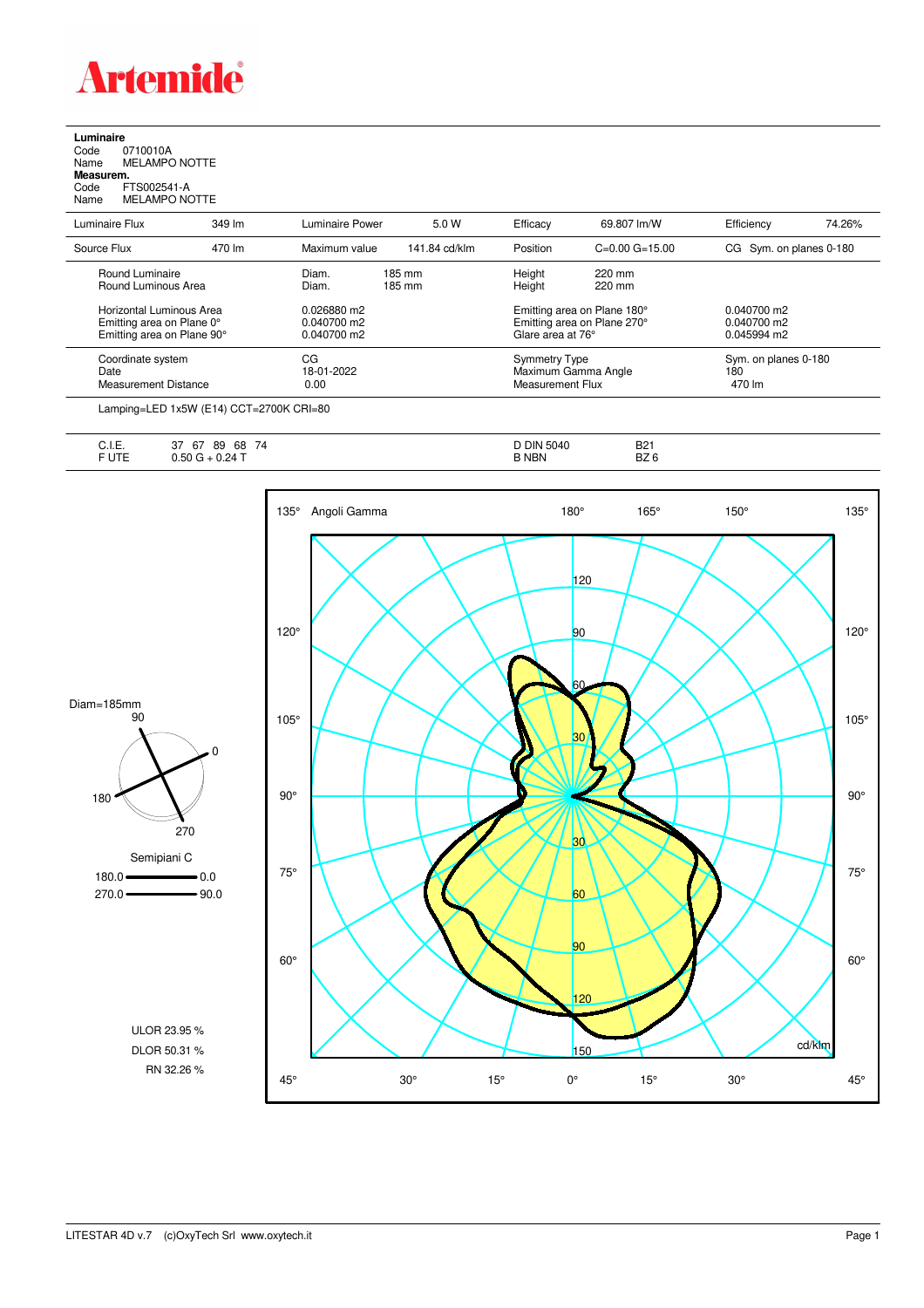

## **Luminaire**

Code 0710010A Name MELAMPO NOTTE **Measurem.** Code FTS002541-A Name ...<br> **Measurem.**<br>
Code FTS002541-A<br>
Name MELAMPO NOTTE

| Luminaire Flux              | 349 lm | Luminaire Power | 5.0 W         | Efficacy             | 69.807 lm/W                 | Efficiency              | 74.26% |
|-----------------------------|--------|-----------------|---------------|----------------------|-----------------------------|-------------------------|--------|
| Source Flux                 | 470 lm | Maximum value   | 141.84 cd/klm | Position             | $C=0.00$ $G=15.00$          | CG Sym. on planes 0-180 |        |
| Round Luminaire             |        | Diam.           | 185 mm        | Height               | 220 mm                      |                         |        |
| Round Luminous Area         |        | Diam.           | 185 mm        | Height               | 220 mm                      |                         |        |
| Horizontal Luminous Area    |        | 0.026880 m2     |               |                      | Emitting area on Plane 180° | $0.040700$ m2           |        |
| Emitting area on Plane 0°   |        | 0.040700 m2     |               |                      | Emitting area on Plane 270° | 0.040700 m2             |        |
| Emitting area on Plane 90°  |        | $0.040700$ m2   |               | Glare area at 76°    |                             | 0.045994 m2             |        |
| Coordinate system           |        | CG              |               | <b>Symmetry Type</b> |                             | Sym. on planes 0-180    |        |
| Date                        |        | 18-01-2022      |               |                      | Maximum Gamma Angle         | 180                     |        |
| <b>Measurement Distance</b> |        | 0.00            |               | Measurement Flux     |                             | 470 lm                  |        |

Lamping=LED 1x5W (E14) CCT=2700K CRI=80

| ◡…     | $\rightarrow$<br>$\sim$<br>~-<br>68<br>89<br>7Δ<br>$\sigma$<br>، ب | אוכ<br>5040 | <b>B21</b>          |
|--------|--------------------------------------------------------------------|-------------|---------------------|
| $\sim$ | $.24 -$<br>טכ.ו                                                    | <b>NBN</b>  | דה<br>DZ.<br>$\sim$ |